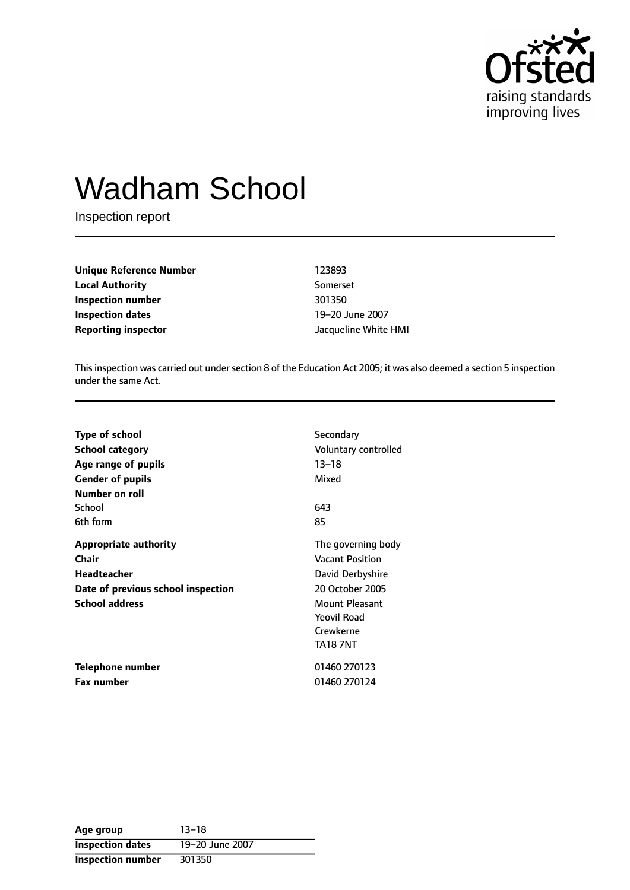

# Wadham School

Inspection report

| <b>Unique Reference Number</b> | 123893               |  |
|--------------------------------|----------------------|--|
| <b>Local Authority</b>         | Somerset             |  |
| Inspection number              | 301350               |  |
| <b>Inspection dates</b>        | 19-20 June 2007      |  |
| <b>Reporting inspector</b>     | Jacqueline White HMI |  |

This inspection was carried out under section 8 of the Education Act 2005; it was also deemed a section 5 inspection under the same Act.

| <b>Type of school</b>              | Secondary              |
|------------------------------------|------------------------|
| <b>School category</b>             | Voluntary controlled   |
| Age range of pupils                | $13 - 18$              |
| <b>Gender of pupils</b>            | Mixed                  |
| Number on roll                     |                        |
| School                             | 643                    |
| 6th form                           | 85                     |
| <b>Appropriate authority</b>       | The governing body     |
| <b>Chair</b>                       | <b>Vacant Position</b> |
| <b>Headteacher</b>                 | David Derbyshire       |
| Date of previous school inspection | 20 October 2005        |
| <b>School address</b>              | <b>Mount Pleasant</b>  |
|                                    | Yeovil Road            |
|                                    | Crewkerne              |
|                                    | <b>TA18 7NT</b>        |
| Telephone number                   | 01460 270123           |
| Fax number                         | 01460 270124           |

| Age group                | $13 - 18$       |
|--------------------------|-----------------|
| <b>Inspection dates</b>  | 19-20 June 2007 |
| <b>Inspection number</b> | 301350          |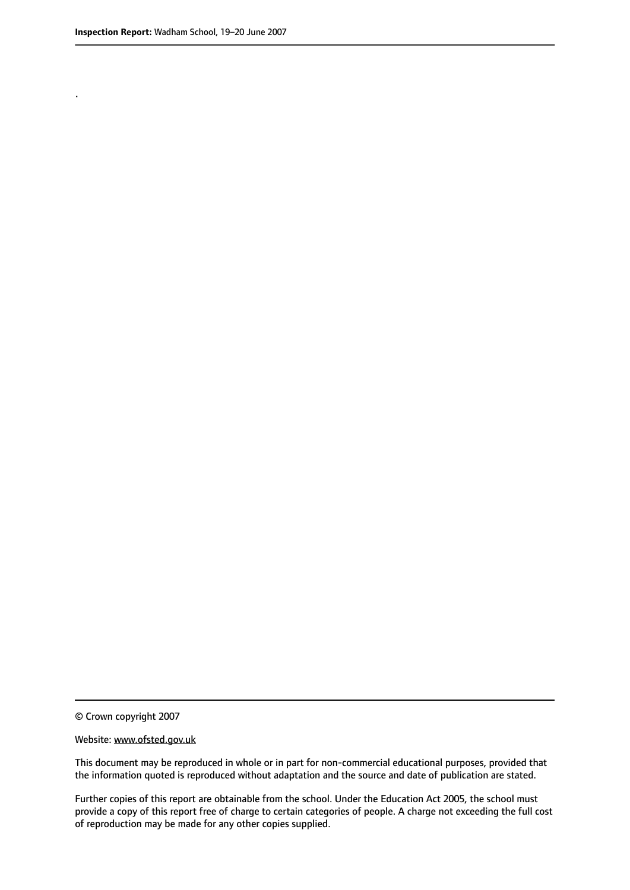.

© Crown copyright 2007

#### Website: www.ofsted.gov.uk

This document may be reproduced in whole or in part for non-commercial educational purposes, provided that the information quoted is reproduced without adaptation and the source and date of publication are stated.

Further copies of this report are obtainable from the school. Under the Education Act 2005, the school must provide a copy of this report free of charge to certain categories of people. A charge not exceeding the full cost of reproduction may be made for any other copies supplied.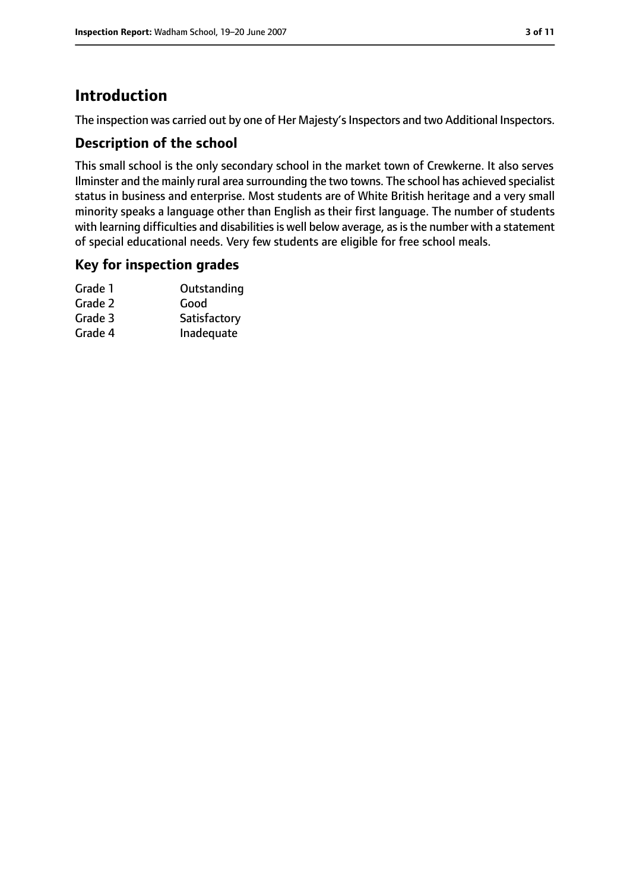# **Introduction**

The inspection was carried out by one of Her Majesty's Inspectors and two Additional Inspectors.

## **Description of the school**

This small school is the only secondary school in the market town of Crewkerne. It also serves Ilminster and the mainly rural area surrounding the two towns. The school has achieved specialist status in business and enterprise. Most students are of White British heritage and a very small minority speaks a language other than English as their first language. The number of students with learning difficulties and disabilities is well below average, as is the number with a statement of special educational needs. Very few students are eligible for free school meals.

## **Key for inspection grades**

| Grade 1 | Outstanding  |
|---------|--------------|
| Grade 2 | Good         |
| Grade 3 | Satisfactory |
| Grade 4 | Inadequate   |
|         |              |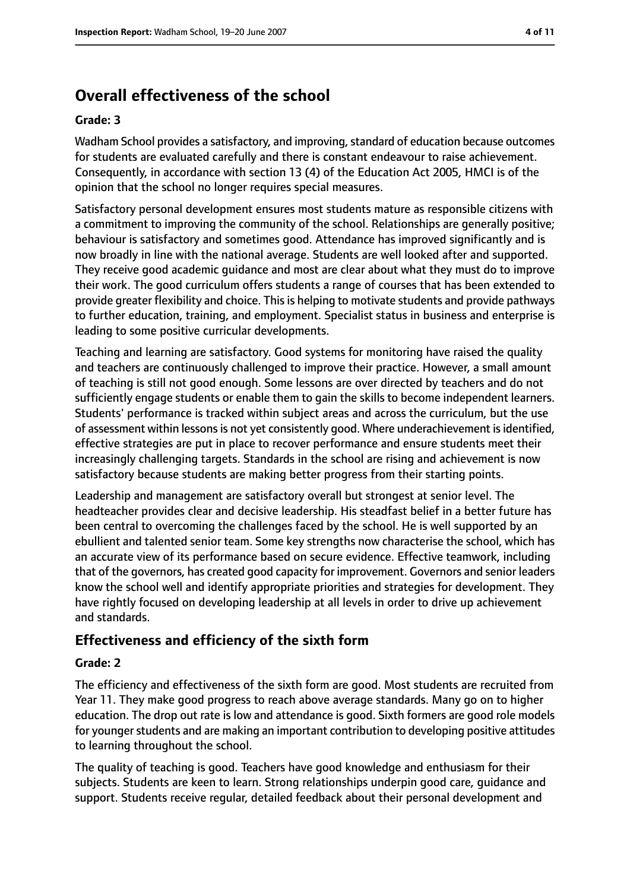# **Overall effectiveness of the school**

### **Grade: 3**

Wadham School provides a satisfactory, and improving, standard of education because outcomes for students are evaluated carefully and there is constant endeavour to raise achievement. Consequently, in accordance with section 13 (4) of the Education Act 2005, HMCI is of the opinion that the school no longer requires special measures.

Satisfactory personal development ensures most students mature as responsible citizens with a commitment to improving the community of the school. Relationships are generally positive; behaviour is satisfactory and sometimes good. Attendance has improved significantly and is now broadly in line with the national average. Students are well looked after and supported. They receive good academic guidance and most are clear about what they must do to improve their work. The good curriculum offers students a range of courses that has been extended to provide greater flexibility and choice. This is helping to motivate students and provide pathways to further education, training, and employment. Specialist status in business and enterprise is leading to some positive curricular developments.

Teaching and learning are satisfactory. Good systems for monitoring have raised the quality and teachers are continuously challenged to improve their practice. However, a small amount of teaching is still not good enough. Some lessons are over directed by teachers and do not sufficiently engage students or enable them to gain the skills to become independent learners. Students' performance is tracked within subject areas and across the curriculum, but the use of assessment within lessons is not yet consistently good. Where underachievement is identified, effective strategies are put in place to recover performance and ensure students meet their increasingly challenging targets. Standards in the school are rising and achievement is now satisfactory because students are making better progress from their starting points.

Leadership and management are satisfactory overall but strongest at senior level. The headteacher provides clear and decisive leadership. His steadfast belief in a better future has been central to overcoming the challenges faced by the school. He is well supported by an ebullient and talented senior team. Some key strengths now characterise the school, which has an accurate view of its performance based on secure evidence. Effective teamwork, including that of the governors, has created good capacity for improvement. Governors and senior leaders know the school well and identify appropriate priorities and strategies for development. They have rightly focused on developing leadership at all levels in order to drive up achievement and standards.

# **Effectiveness and efficiency of the sixth form**

### **Grade: 2**

The efficiency and effectiveness of the sixth form are good. Most students are recruited from Year 11. They make good progress to reach above average standards. Many go on to higher education. The drop out rate is low and attendance is good. Sixth formers are good role models for younger students and are making an important contribution to developing positive attitudes to learning throughout the school.

The quality of teaching is good. Teachers have good knowledge and enthusiasm for their subjects. Students are keen to learn. Strong relationships underpin good care, guidance and support. Students receive regular, detailed feedback about their personal development and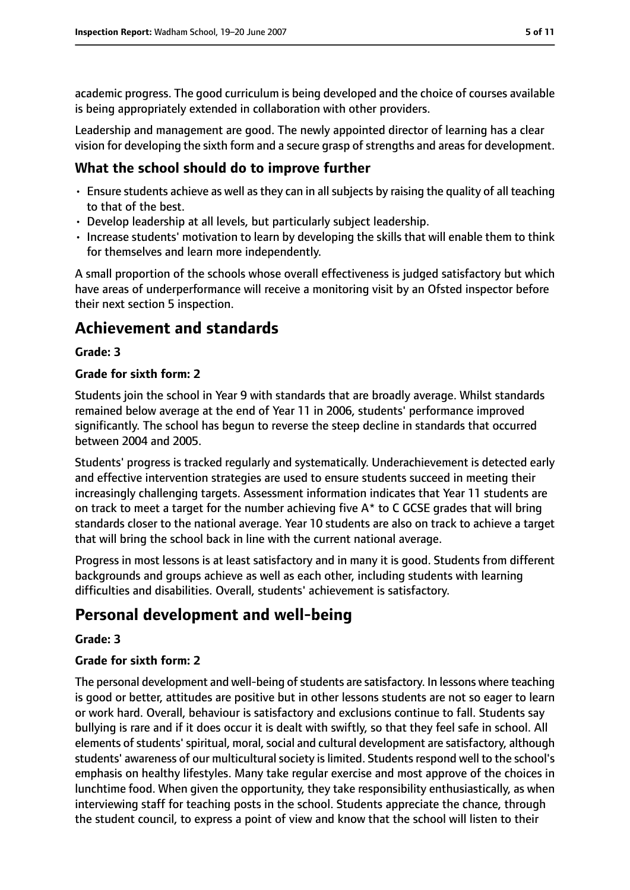academic progress. The good curriculum is being developed and the choice of courses available is being appropriately extended in collaboration with other providers.

Leadership and management are good. The newly appointed director of learning has a clear vision for developing the sixth form and a secure grasp of strengths and areas for development.

## **What the school should do to improve further**

- Ensure students achieve as well as they can in all subjects by raising the quality of all teaching to that of the best.
- Develop leadership at all levels, but particularly subject leadership.
- Increase students' motivation to learn by developing the skills that will enable them to think for themselves and learn more independently.

A small proportion of the schools whose overall effectiveness is judged satisfactory but which have areas of underperformance will receive a monitoring visit by an Ofsted inspector before their next section 5 inspection.

# **Achievement and standards**

### **Grade: 3**

#### **Grade for sixth form: 2**

Students join the school in Year 9 with standards that are broadly average. Whilst standards remained below average at the end of Year 11 in 2006, students' performance improved significantly. The school has begun to reverse the steep decline in standards that occurred between 2004 and 2005.

Students' progress is tracked regularly and systematically. Underachievement is detected early and effective intervention strategies are used to ensure students succeed in meeting their increasingly challenging targets. Assessment information indicates that Year 11 students are on track to meet a target for the number achieving five A\* to C GCSE grades that will bring standards closer to the national average. Year 10 students are also on track to achieve a target that will bring the school back in line with the current national average.

Progress in most lessons is at least satisfactory and in many it is good. Students from different backgrounds and groups achieve as well as each other, including students with learning difficulties and disabilities. Overall, students' achievement is satisfactory.

# **Personal development and well-being**

### **Grade: 3**

### **Grade for sixth form: 2**

The personal development and well-being of students are satisfactory. In lessons where teaching is good or better, attitudes are positive but in other lessons students are not so eager to learn or work hard. Overall, behaviour is satisfactory and exclusions continue to fall. Students say bullying is rare and if it does occur it is dealt with swiftly, so that they feel safe in school. All elements of students' spiritual, moral, social and cultural development are satisfactory, although students' awareness of our multicultural society is limited. Students respond well to the school's emphasis on healthy lifestyles. Many take regular exercise and most approve of the choices in lunchtime food. When given the opportunity, they take responsibility enthusiastically, as when interviewing staff for teaching posts in the school. Students appreciate the chance, through the student council, to express a point of view and know that the school will listen to their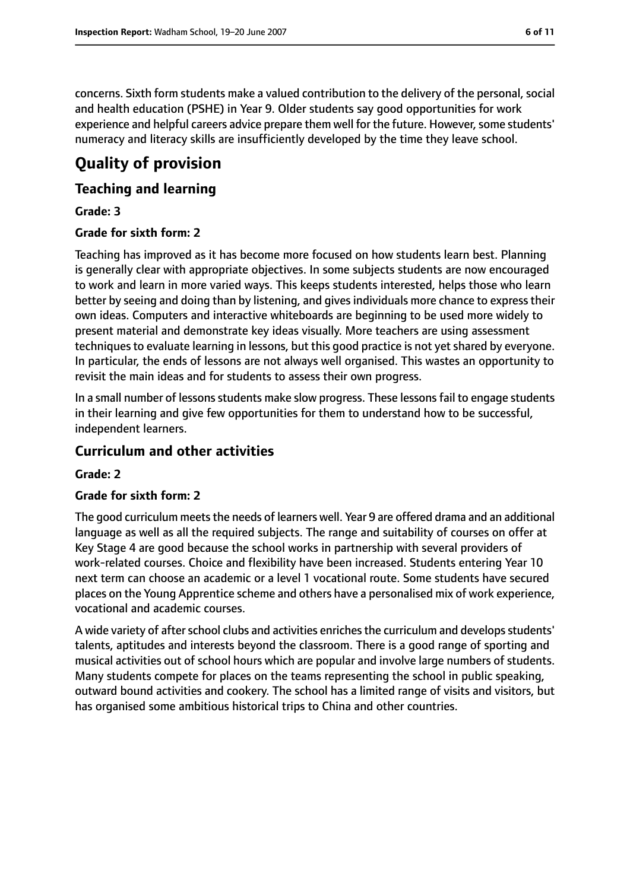concerns. Sixth form students make a valued contribution to the delivery of the personal, social and health education (PSHE) in Year 9. Older students say good opportunities for work experience and helpful careers advice prepare them well for the future. However, some students' numeracy and literacy skills are insufficiently developed by the time they leave school.

# **Quality of provision**

## **Teaching and learning**

## **Grade: 3**

## **Grade for sixth form: 2**

Teaching has improved as it has become more focused on how students learn best. Planning is generally clear with appropriate objectives. In some subjects students are now encouraged to work and learn in more varied ways. This keeps students interested, helps those who learn better by seeing and doing than by listening, and gives individuals more chance to express their own ideas. Computers and interactive whiteboards are beginning to be used more widely to present material and demonstrate key ideas visually. More teachers are using assessment techniques to evaluate learning in lessons, but this good practice is not yet shared by everyone. In particular, the ends of lessons are not always well organised. This wastes an opportunity to revisit the main ideas and for students to assess their own progress.

In a small number of lessons students make slow progress. These lessons fail to engage students in their learning and give few opportunities for them to understand how to be successful, independent learners.

## **Curriculum and other activities**

### **Grade: 2**

### **Grade for sixth form: 2**

The good curriculum meets the needs of learners well. Year 9 are offered drama and an additional language as well as all the required subjects. The range and suitability of courses on offer at Key Stage 4 are good because the school works in partnership with several providers of work-related courses. Choice and flexibility have been increased. Students entering Year 10 next term can choose an academic or a level 1 vocational route. Some students have secured places on the Young Apprentice scheme and others have a personalised mix of work experience, vocational and academic courses.

A wide variety of after school clubs and activities enriches the curriculum and develops students' talents, aptitudes and interests beyond the classroom. There is a good range of sporting and musical activities out of school hours which are popular and involve large numbers of students. Many students compete for places on the teams representing the school in public speaking, outward bound activities and cookery. The school has a limited range of visits and visitors, but has organised some ambitious historical trips to China and other countries.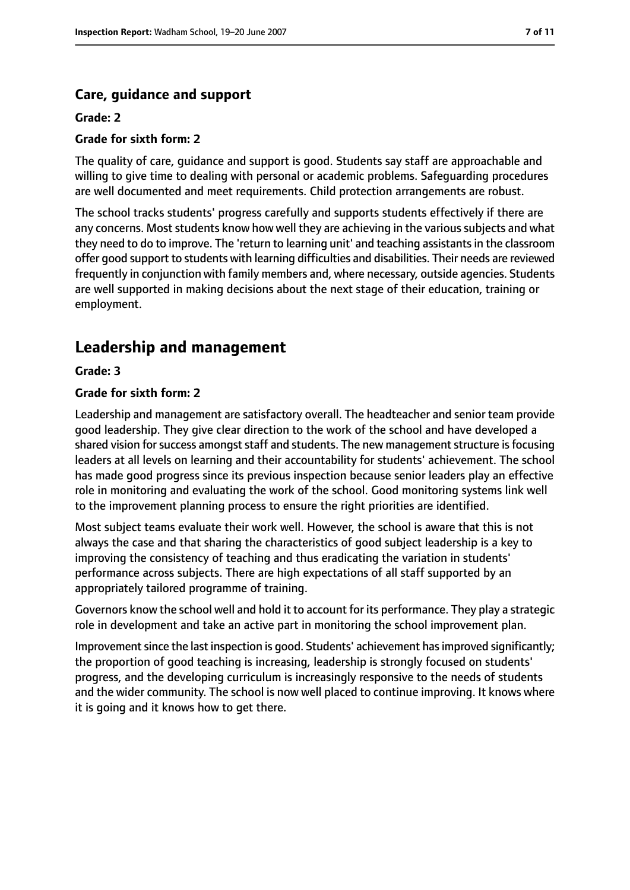# **Care, guidance and support**

## **Grade: 2**

## **Grade for sixth form: 2**

The quality of care, guidance and support is good. Students say staff are approachable and willing to give time to dealing with personal or academic problems. Safeguarding procedures are well documented and meet requirements. Child protection arrangements are robust.

The school tracks students' progress carefully and supports students effectively if there are any concerns. Most students know how well they are achieving in the various subjects and what they need to do to improve. The 'return to learning unit' and teaching assistants in the classroom offer good support to students with learning difficulties and disabilities. Their needs are reviewed frequently in conjunction with family members and, where necessary, outside agencies. Students are well supported in making decisions about the next stage of their education, training or employment.

# **Leadership and management**

**Grade: 3**

### **Grade for sixth form: 2**

Leadership and management are satisfactory overall. The headteacher and senior team provide good leadership. They give clear direction to the work of the school and have developed a shared vision for success amongst staff and students. The new management structure is focusing leaders at all levels on learning and their accountability for students' achievement. The school has made good progress since its previous inspection because senior leaders play an effective role in monitoring and evaluating the work of the school. Good monitoring systems link well to the improvement planning process to ensure the right priorities are identified.

Most subject teams evaluate their work well. However, the school is aware that this is not always the case and that sharing the characteristics of good subject leadership is a key to improving the consistency of teaching and thus eradicating the variation in students' performance across subjects. There are high expectations of all staff supported by an appropriately tailored programme of training.

Governors know the school well and hold it to account for its performance. They play a strategic role in development and take an active part in monitoring the school improvement plan.

Improvement since the last inspection is good. Students' achievement has improved significantly; the proportion of good teaching is increasing, leadership is strongly focused on students' progress, and the developing curriculum is increasingly responsive to the needs of students and the wider community. The school is now well placed to continue improving. It knows where it is going and it knows how to get there.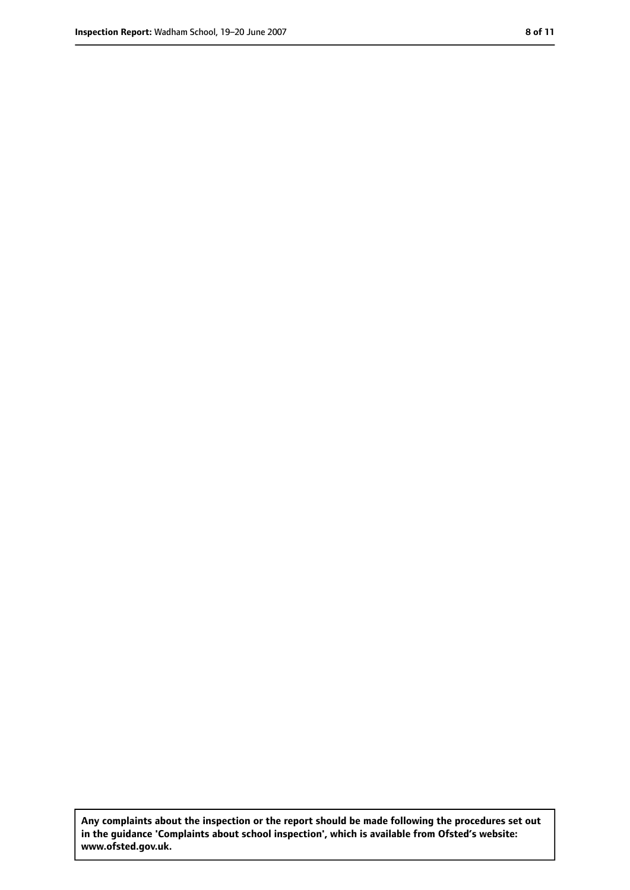**Any complaints about the inspection or the report should be made following the procedures set out in the guidance 'Complaints about school inspection', which is available from Ofsted's website: www.ofsted.gov.uk.**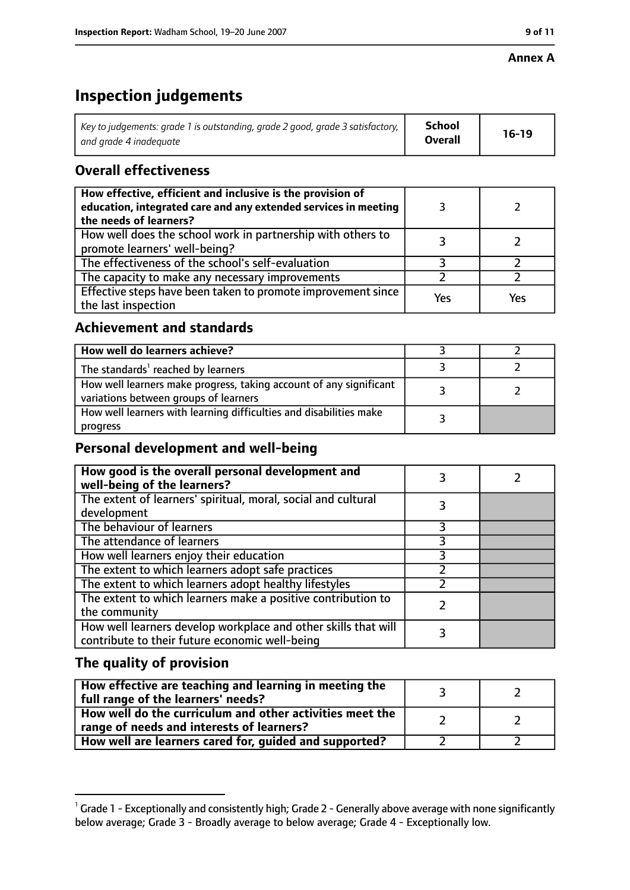#### **Annex A**

# **Inspection judgements**

| Key to judgements: grade 1 is outstanding, grade 2 good, grade 3 satisfactory, $\vert$ | School         | $16-19$ |
|----------------------------------------------------------------------------------------|----------------|---------|
| and arade 4 inadeauate                                                                 | <b>Overall</b> |         |

# **Overall effectiveness**

| How effective, efficient and inclusive is the provision of<br>education, integrated care and any extended services in meeting<br>the needs of learners? |     |     |
|---------------------------------------------------------------------------------------------------------------------------------------------------------|-----|-----|
| How well does the school work in partnership with others to<br>promote learners' well-being?                                                            |     |     |
| The effectiveness of the school's self-evaluation                                                                                                       |     |     |
| The capacity to make any necessary improvements                                                                                                         |     |     |
| Effective steps have been taken to promote improvement since<br>the last inspection                                                                     | Yes | Yes |

# **Achievement and standards**

| How well do learners achieve?                                                                               |  |
|-------------------------------------------------------------------------------------------------------------|--|
| The standards <sup>1</sup> reached by learners                                                              |  |
| How well learners make progress, taking account of any significant<br>variations between groups of learners |  |
| How well learners with learning difficulties and disabilities make<br>progress                              |  |

# **Personal development and well-being**

| How good is the overall personal development and<br>well-being of the learners?                                  |  |
|------------------------------------------------------------------------------------------------------------------|--|
| The extent of learners' spiritual, moral, social and cultural<br>development                                     |  |
| The behaviour of learners                                                                                        |  |
| The attendance of learners                                                                                       |  |
| How well learners enjoy their education                                                                          |  |
| The extent to which learners adopt safe practices                                                                |  |
| The extent to which learners adopt healthy lifestyles                                                            |  |
| The extent to which learners make a positive contribution to<br>the community                                    |  |
| How well learners develop workplace and other skills that will<br>contribute to their future economic well-being |  |

# **The quality of provision**

| How effective are teaching and learning in meeting the<br>full range of the learners' needs?          |  |
|-------------------------------------------------------------------------------------------------------|--|
| How well do the curriculum and other activities meet the<br>range of needs and interests of learners? |  |
| How well are learners cared for, guided and supported?                                                |  |

 $^1$  Grade 1 - Exceptionally and consistently high; Grade 2 - Generally above average with none significantly below average; Grade 3 - Broadly average to below average; Grade 4 - Exceptionally low.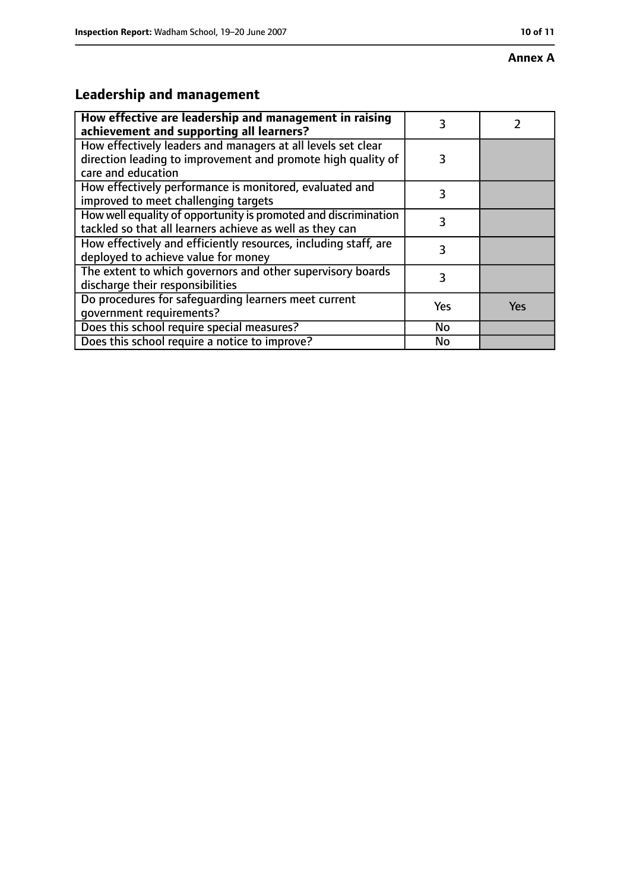#### **Annex A**

# **Leadership and management**

| How effective are leadership and management in raising<br>achievement and supporting all learners?                                                 |           |            |
|----------------------------------------------------------------------------------------------------------------------------------------------------|-----------|------------|
| How effectively leaders and managers at all levels set clear<br>direction leading to improvement and promote high quality of<br>care and education | 3         |            |
| How effectively performance is monitored, evaluated and<br>improved to meet challenging targets                                                    | 3         |            |
| How well equality of opportunity is promoted and discrimination<br>tackled so that all learners achieve as well as they can                        | 3         |            |
| How effectively and efficiently resources, including staff, are<br>deployed to achieve value for money                                             | 3         |            |
| The extent to which governors and other supervisory boards<br>discharge their responsibilities                                                     | 3         |            |
| Do procedures for safequarding learners meet current<br>qovernment requirements?                                                                   | Yes       | <b>Yes</b> |
| Does this school require special measures?                                                                                                         | No        |            |
| Does this school require a notice to improve?                                                                                                      | <b>No</b> |            |